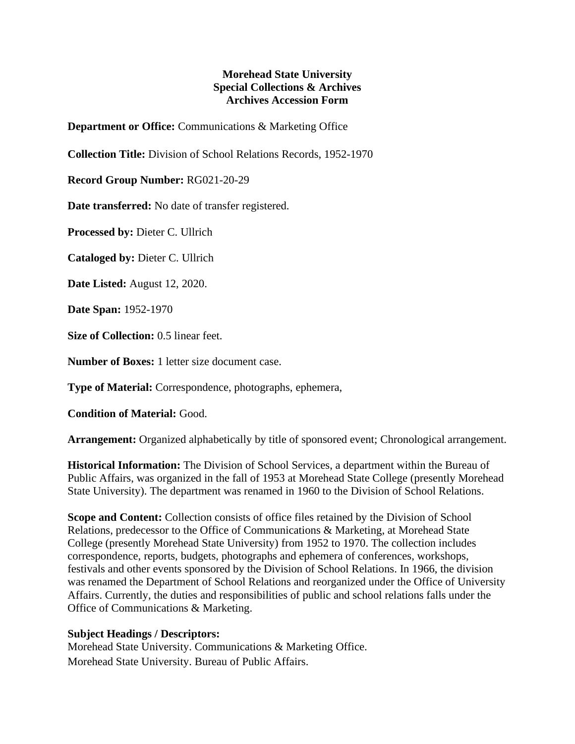## **Morehead State University Special Collections & Archives Archives Accession Form**

**Department or Office:** Communications & Marketing Office

**Collection Title:** Division of School Relations Records, 1952-1970

**Record Group Number:** RG021-20-29

**Date transferred:** No date of transfer registered.

**Processed by:** Dieter C. Ullrich

**Cataloged by:** Dieter C. Ullrich

**Date Listed:** August 12, 2020.

**Date Span:** 1952-1970

**Size of Collection:** 0.5 linear feet.

**Number of Boxes:** 1 letter size document case.

**Type of Material:** Correspondence, photographs, ephemera,

**Condition of Material:** Good.

**Arrangement:** Organized alphabetically by title of sponsored event; Chronological arrangement.

**Historical Information:** The Division of School Services, a department within the Bureau of Public Affairs, was organized in the fall of 1953 at Morehead State College (presently Morehead State University). The department was renamed in 1960 to the Division of School Relations.

**Scope and Content:** Collection consists of office files retained by the Division of School Relations, predecessor to the Office of Communications & Marketing, at Morehead State College (presently Morehead State University) from 1952 to 1970. The collection includes correspondence, reports, budgets, photographs and ephemera of conferences, workshops, festivals and other events sponsored by the Division of School Relations. In 1966, the division was renamed the Department of School Relations and reorganized under the Office of University Affairs. Currently, the duties and responsibilities of public and school relations falls under the Office of Communications & Marketing.

## **Subject Headings / Descriptors:**

Morehead State University. Communications & Marketing Office. Morehead State University. Bureau of Public Affairs.